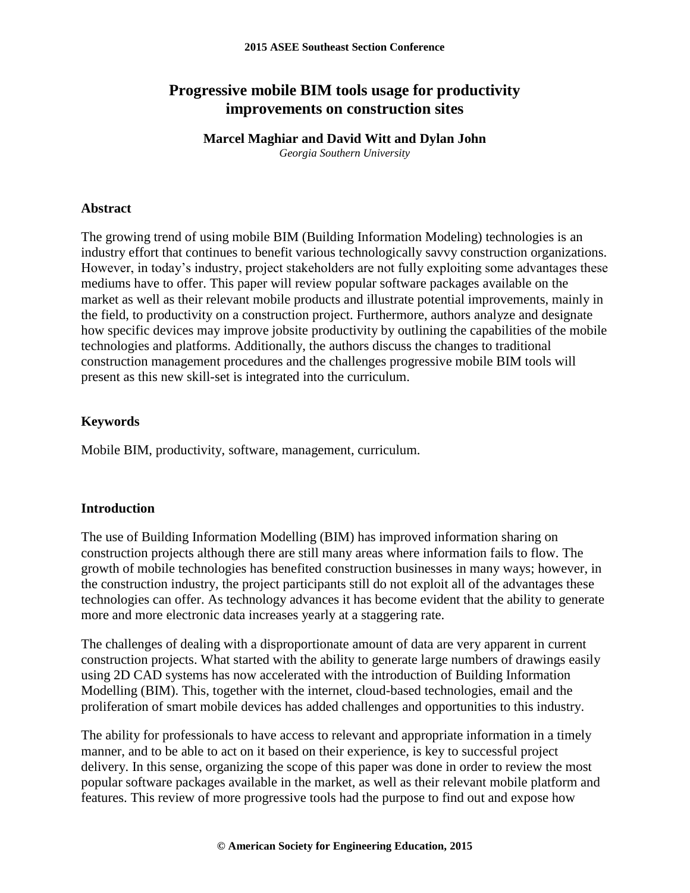# **Progressive mobile BIM tools usage for productivity improvements on construction sites**

# **Marcel Maghiar and David Witt and Dylan John**

*Georgia Southern University*

### **Abstract**

The growing trend of using mobile BIM (Building Information Modeling) technologies is an industry effort that continues to benefit various technologically savvy construction organizations. However, in today's industry, project stakeholders are not fully exploiting some advantages these mediums have to offer. This paper will review popular software packages available on the market as well as their relevant mobile products and illustrate potential improvements, mainly in the field, to productivity on a construction project. Furthermore, authors analyze and designate how specific devices may improve jobsite productivity by outlining the capabilities of the mobile technologies and platforms. Additionally, the authors discuss the changes to traditional construction management procedures and the challenges progressive mobile BIM tools will present as this new skill-set is integrated into the curriculum.

### **Keywords**

Mobile BIM, productivity, software, management, curriculum.

### **Introduction**

The use of Building Information Modelling (BIM) has improved information sharing on construction projects although there are still many areas where information fails to flow. The growth of mobile technologies has benefited construction businesses in many ways; however, in the construction industry, the project participants still do not exploit all of the advantages these technologies can offer. As technology advances it has become evident that the ability to generate more and more electronic data increases yearly at a staggering rate.

The challenges of dealing with a disproportionate amount of data are very apparent in current construction projects. What started with the ability to generate large numbers of drawings easily using 2D CAD systems has now accelerated with the introduction of Building Information Modelling (BIM). This, together with the internet, cloud-based technologies, email and the proliferation of smart mobile devices has added challenges and opportunities to this industry.

The ability for professionals to have access to relevant and appropriate information in a timely manner, and to be able to act on it based on their experience, is key to successful project delivery. In this sense, organizing the scope of this paper was done in order to review the most popular software packages available in the market, as well as their relevant mobile platform and features. This review of more progressive tools had the purpose to find out and expose how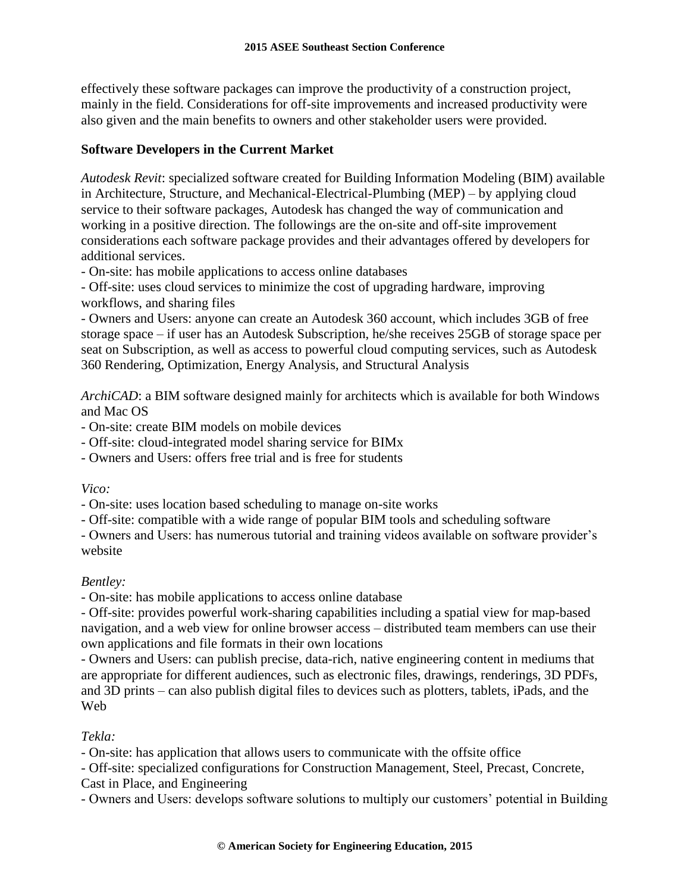effectively these software packages can improve the productivity of a construction project, mainly in the field. Considerations for off-site improvements and increased productivity were also given and the main benefits to owners and other stakeholder users were provided.

## **Software Developers in the Current Market**

*Autodesk Revit*: specialized software created for Building Information Modeling (BIM) available in Architecture, Structure, and Mechanical-Electrical-Plumbing (MEP) – by applying cloud service to their software packages, Autodesk has changed the way of communication and working in a positive direction. The followings are the on-site and off-site improvement considerations each software package provides and their advantages offered by developers for additional services.

- On-site: has mobile applications to access online databases

- Off-site: uses cloud services to minimize the cost of upgrading hardware, improving workflows, and sharing files

- Owners and Users: anyone can create an Autodesk 360 account, which includes 3GB of free storage space – if user has an Autodesk Subscription, he/she receives 25GB of storage space per seat on Subscription, as well as access to powerful cloud computing services, such as Autodesk 360 Rendering, Optimization, Energy Analysis, and Structural Analysis

*ArchiCAD*: a BIM software designed mainly for architects which is available for both Windows and Mac OS

- On-site: create BIM models on mobile devices

- Off-site: cloud-integrated model sharing service for BIMx

- Owners and Users: offers free trial and is free for students

*Vico:* 

- On-site: uses location based scheduling to manage on-site works

- Off-site: compatible with a wide range of popular BIM tools and scheduling software

- Owners and Users: has numerous tutorial and training videos available on software provider's website

## *Bentley:*

- On-site: has mobile applications to access online database

- Off-site: provides powerful work-sharing capabilities including a spatial view for map-based navigation, and a web view for online browser access – distributed team members can use their own applications and file formats in their own locations

- Owners and Users: can publish precise, data-rich, native engineering content in mediums that are appropriate for different audiences, such as electronic files, drawings, renderings, 3D PDFs, and 3D prints – can also publish digital files to devices such as plotters, tablets, iPads, and the Web

## *Tekla:*

- On-site: has application that allows users to communicate with the offsite office

- Off-site: specialized configurations for Construction Management, Steel, Precast, Concrete,

Cast in Place, and Engineering

- Owners and Users: develops software solutions to multiply our customers' potential in Building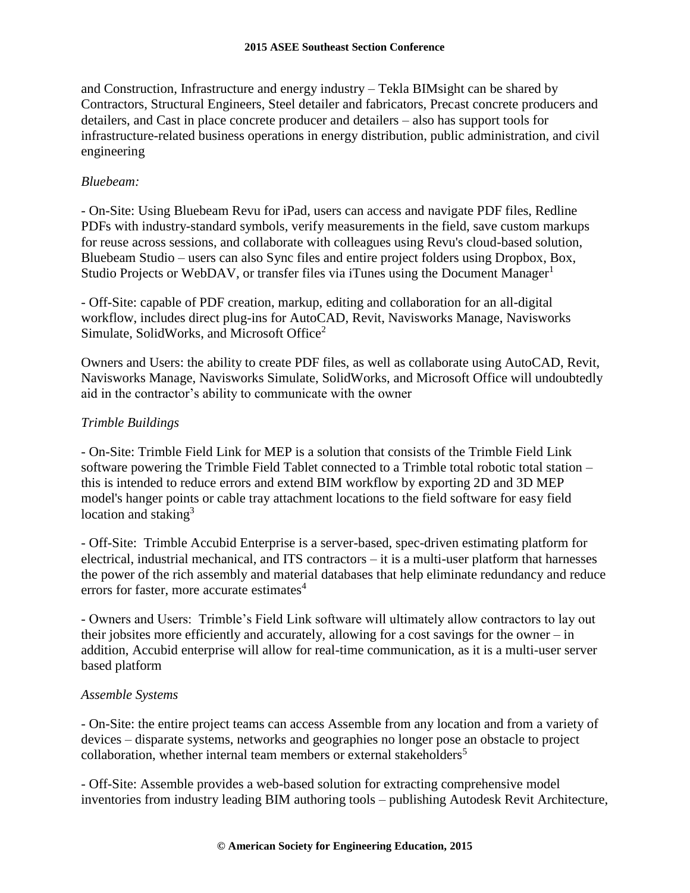and Construction, Infrastructure and energy industry – Tekla BIMsight can be shared by Contractors, Structural Engineers, Steel detailer and fabricators, Precast concrete producers and detailers, and Cast in place concrete producer and detailers – also has support tools for infrastructure-related business operations in energy distribution, public administration, and civil engineering

## *Bluebeam:*

- On-Site: Using Bluebeam Revu for iPad, users can access and navigate PDF files, Redline PDFs with industry-standard symbols, verify measurements in the field, save custom markups for reuse across sessions, and collaborate with colleagues using Revu's cloud-based solution, Bluebeam Studio – users can also Sync files and entire project folders using Dropbox, Box, Studio Projects or WebDAV, or transfer files via iTunes using the Document Manager<sup>1</sup>

- Off-Site: capable of PDF creation, markup, editing and collaboration for an all-digital workflow, includes direct plug-ins for AutoCAD, Revit, Navisworks Manage, Navisworks Simulate, SolidWorks, and Microsoft Office<sup>2</sup>

Owners and Users: the ability to create PDF files, as well as collaborate using AutoCAD, Revit, Navisworks Manage, Navisworks Simulate, SolidWorks, and Microsoft Office will undoubtedly aid in the contractor's ability to communicate with the owner

## *Trimble Buildings*

- On-Site: Trimble Field Link for MEP is a solution that consists of the Trimble Field Link software powering the Trimble Field Tablet connected to a Trimble total robotic total station – this is intended to reduce errors and extend BIM workflow by exporting 2D and 3D MEP model's hanger points or cable tray attachment locations to the field software for easy field location and staking<sup>3</sup>

- Off-Site: Trimble Accubid Enterprise is a server-based, spec-driven estimating platform for electrical, industrial mechanical, and ITS contractors – it is a multi-user platform that harnesses the power of the rich assembly and material databases that help eliminate redundancy and reduce errors for faster, more accurate estimates $4$ 

- Owners and Users: Trimble's Field Link software will ultimately allow contractors to lay out their jobsites more efficiently and accurately, allowing for a cost savings for the owner – in addition, Accubid enterprise will allow for real-time communication, as it is a multi-user server based platform

## *Assemble Systems*

- On-Site: the entire project teams can access Assemble from any location and from a variety of devices – disparate systems, networks and geographies no longer pose an obstacle to project collaboration, whether internal team members or external stakeholders<sup>5</sup>

- Off-Site: Assemble provides a web-based solution for extracting comprehensive model inventories from industry leading BIM authoring tools – publishing Autodesk Revit Architecture,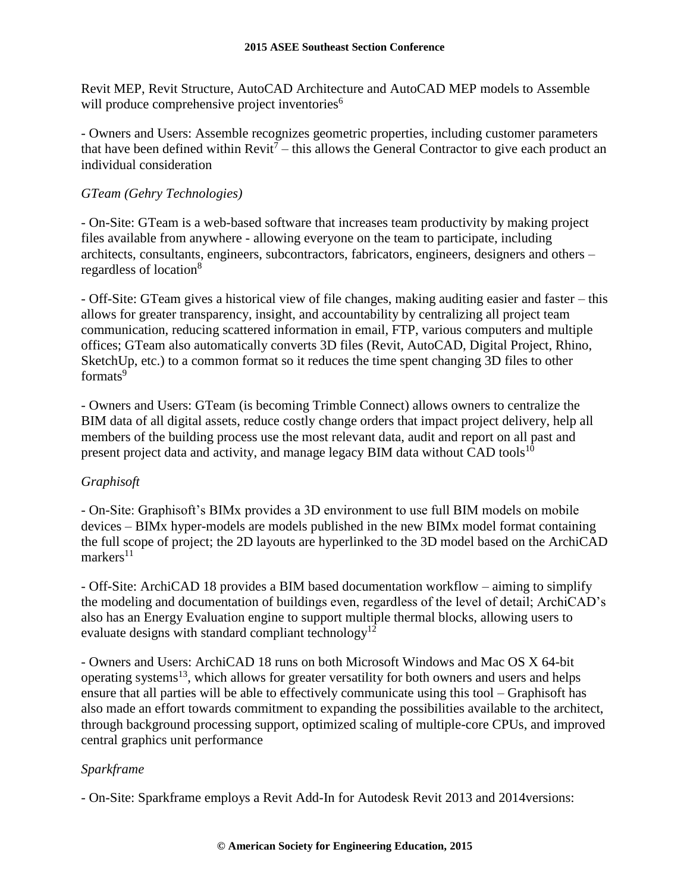Revit MEP, Revit Structure, AutoCAD Architecture and AutoCAD MEP models to Assemble will produce comprehensive project inventories<sup>6</sup>

- Owners and Users: Assemble recognizes geometric properties, including customer parameters that have been defined within  $Revit<sup>7</sup> - this$  allows the General Contractor to give each product an individual consideration

## *GTeam (Gehry Technologies)*

- On-Site: GTeam is a web-based software that increases team productivity by making project files available from anywhere - allowing everyone on the team to participate, including architects, consultants, engineers, subcontractors, fabricators, engineers, designers and others – regardless of location<sup>8</sup>

- Off-Site: GTeam gives a historical view of file changes, making auditing easier and faster – this allows for greater transparency, insight, and accountability by centralizing all project team communication, reducing scattered information in email, FTP, various computers and multiple offices; GTeam also automatically converts 3D files (Revit, AutoCAD, Digital Project, Rhino, SketchUp, etc.) to a common format so it reduces the time spent changing 3D files to other formats<sup>9</sup>

- Owners and Users: GTeam (is becoming Trimble Connect) allows owners to centralize the BIM data of all digital assets, reduce costly change orders that impact project delivery, help all members of the building process use the most relevant data, audit and report on all past and present project data and activity, and manage legacy BIM data without CAD tools $^{10}$ 

# *Graphisoft*

- On-Site: Graphisoft's BIMx provides a 3D environment to use full BIM models on mobile devices – BIMx hyper-models are models published in the new BIMx model format containing the full scope of project; the 2D layouts are hyperlinked to the 3D model based on the ArchiCAD  $markers<sup>11</sup>$ 

- Off-Site: ArchiCAD 18 provides a BIM based documentation workflow – aiming to simplify the modeling and documentation of buildings even, regardless of the level of detail; ArchiCAD's also has an Energy Evaluation engine to support multiple thermal blocks, allowing users to evaluate designs with standard compliant technology<sup>12</sup>

- Owners and Users: ArchiCAD 18 runs on both Microsoft Windows and Mac OS X 64-bit operating systems<sup>13</sup>, which allows for greater versatility for both owners and users and helps ensure that all parties will be able to effectively communicate using this tool – Graphisoft has also made an effort towards commitment to expanding the possibilities available to the architect, through background processing support, optimized scaling of multiple-core CPUs, and improved central graphics unit performance

# *Sparkframe*

- On-Site: Sparkframe employs a Revit Add-In for Autodesk Revit 2013 and 2014versions: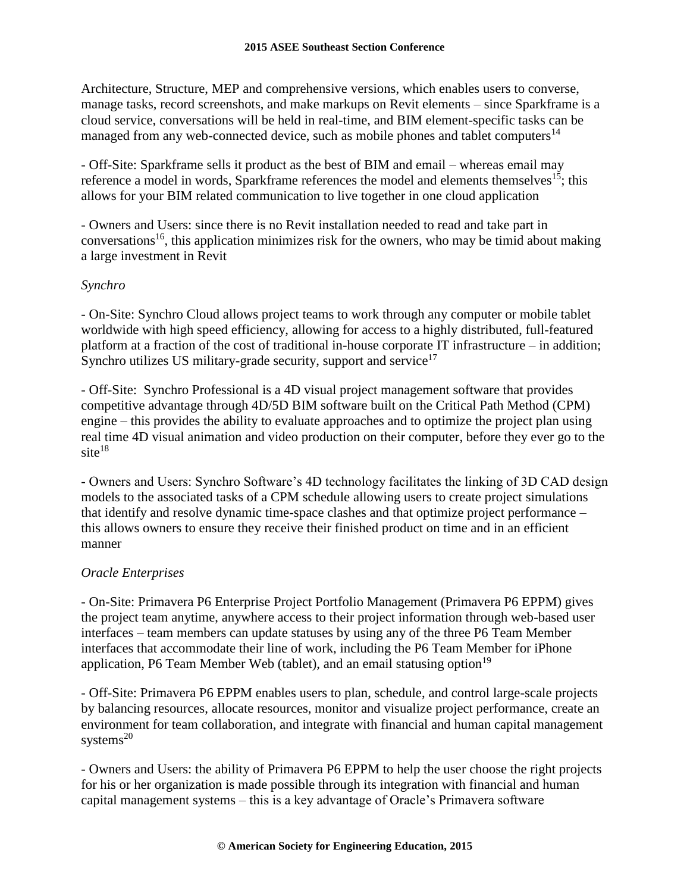Architecture, Structure, MEP and comprehensive versions, which enables users to converse, manage tasks, record screenshots, and make markups on Revit elements – since Sparkframe is a cloud service, conversations will be held in real-time, and BIM element-specific tasks can be managed from any web-connected device, such as mobile phones and tablet computers<sup>14</sup>

- Off-Site: Sparkframe sells it product as the best of BIM and email – whereas email may reference a model in words, Sparkframe references the model and elements themselves<sup>15</sup>; this allows for your BIM related communication to live together in one cloud application

- Owners and Users: since there is no Revit installation needed to read and take part in conversations<sup>16</sup>, this application minimizes risk for the owners, who may be timid about making a large investment in Revit

## *Synchro*

- On-Site: Synchro Cloud allows project teams to work through any computer or mobile tablet worldwide with high speed efficiency, allowing for access to a highly distributed, full-featured platform at a fraction of the cost of traditional in-house corporate IT infrastructure – in addition; Synchro utilizes US military-grade security, support and service<sup>17</sup>

- Off-Site: Synchro Professional is a 4D visual project management software that provides competitive advantage through 4D/5D BIM software built on the Critical Path Method (CPM) engine – this provides the ability to evaluate approaches and to optimize the project plan using real time 4D visual animation and video production on their computer, before they ever go to the  $site<sup>18</sup>$ 

- Owners and Users: Synchro Software's 4D technology facilitates the linking of 3D CAD design models to the associated tasks of a CPM schedule allowing users to create project simulations that identify and resolve dynamic time-space clashes and that optimize project performance – this allows owners to ensure they receive their finished product on time and in an efficient manner

## *Oracle Enterprises*

- On-Site: Primavera P6 Enterprise Project Portfolio Management (Primavera P6 EPPM) gives the project team anytime, anywhere access to their project information through web-based user interfaces – team members can update statuses by using any of the three P6 Team Member interfaces that accommodate their line of work, including the P6 Team Member for iPhone application, P6 Team Member Web (tablet), and an email statusing option<sup>19</sup>

- Off-Site: Primavera P6 EPPM enables users to plan, schedule, and control large-scale projects by balancing resources, allocate resources, monitor and visualize project performance, create an environment for team collaboration, and integrate with financial and human capital management systems $^{20}$ 

- Owners and Users: the ability of Primavera P6 EPPM to help the user choose the right projects for his or her organization is made possible through its integration with financial and human capital management systems – this is a key advantage of Oracle's Primavera software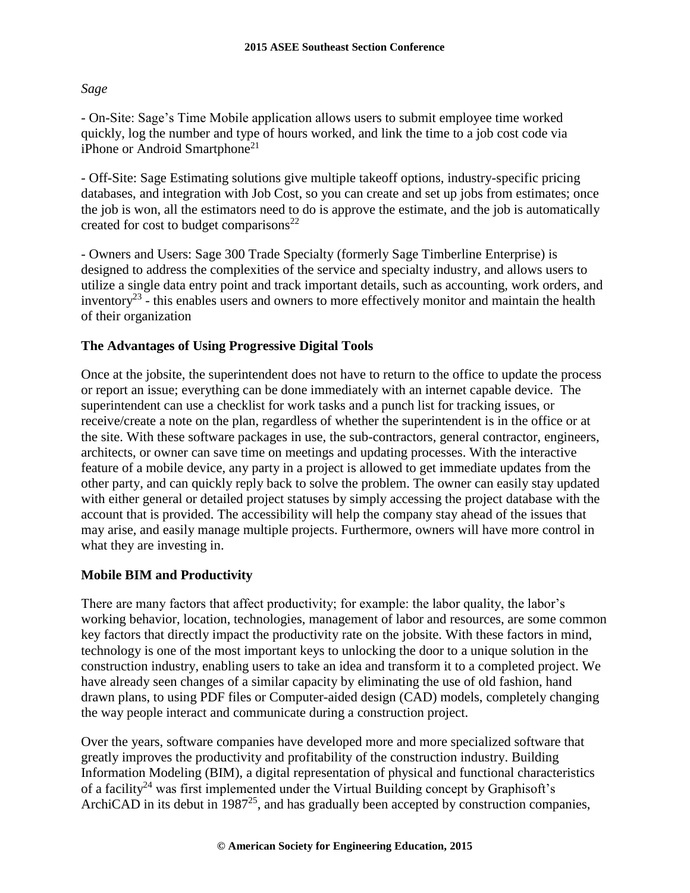#### *Sage*

- On-Site: Sage's Time Mobile application allows users to submit employee time worked quickly, log the number and type of hours worked, and link the time to a job cost code via iPhone or Android Smartphone<sup>21</sup>

- Off-Site: Sage Estimating solutions give multiple takeoff options, industry-specific pricing databases, and integration with Job Cost, so you can create and set up jobs from estimates; once the job is won, all the estimators need to do is approve the estimate, and the job is automatically created for cost to budget comparisons<sup>22</sup>

- Owners and Users: Sage 300 Trade Specialty (formerly Sage Timberline Enterprise) is designed to address the complexities of the service and specialty industry, and allows users to utilize a single data entry point and track important details, such as accounting, work orders, and inventory<sup>23</sup> - this enables users and owners to more effectively monitor and maintain the health of their organization

### **The Advantages of Using Progressive Digital Tools**

Once at the jobsite, the superintendent does not have to return to the office to update the process or report an issue; everything can be done immediately with an internet capable device. The superintendent can use a checklist for work tasks and a punch list for tracking issues, or receive/create a note on the plan, regardless of whether the superintendent is in the office or at the site. With these software packages in use, the sub-contractors, general contractor, engineers, architects, or owner can save time on meetings and updating processes. With the interactive feature of a mobile device, any party in a project is allowed to get immediate updates from the other party, and can quickly reply back to solve the problem. The owner can easily stay updated with either general or detailed project statuses by simply accessing the project database with the account that is provided. The accessibility will help the company stay ahead of the issues that may arise, and easily manage multiple projects. Furthermore, owners will have more control in what they are investing in.

### **Mobile BIM and Productivity**

There are many factors that affect productivity; for example: the labor quality, the labor's working behavior, location, technologies, management of labor and resources, are some common key factors that directly impact the productivity rate on the jobsite. With these factors in mind, technology is one of the most important keys to unlocking the door to a unique solution in the construction industry, enabling users to take an idea and transform it to a completed project. We have already seen changes of a similar capacity by eliminating the use of old fashion, hand drawn plans, to using PDF files or Computer-aided design (CAD) models, completely changing the way people interact and communicate during a construction project.

Over the years, software companies have developed more and more specialized software that greatly improves the productivity and profitability of the construction industry. Building Information Modeling (BIM), a digital representation of physical and functional characteristics of a facility<sup>24</sup> was first implemented under the Virtual Building concept by Graphisoft's ArchiCAD in its debut in  $1987^{25}$ , and has gradually been accepted by construction companies,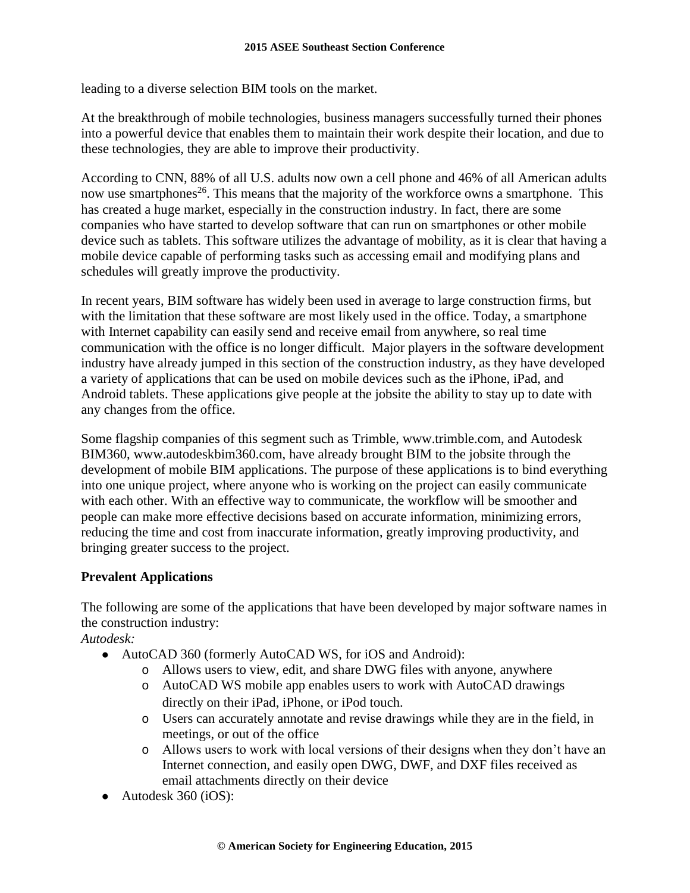leading to a diverse selection BIM tools on the market.

At the breakthrough of mobile technologies, business managers successfully turned their phones into a powerful device that enables them to maintain their work despite their location, and due to these technologies, they are able to improve their productivity.

According to CNN, 88% of all U.S. adults now own a cell phone and 46% of all American adults now use smartphones<sup>26</sup>. This means that the majority of the workforce owns a smartphone. This has created a huge market, especially in the construction industry. In fact, there are some companies who have started to develop software that can run on smartphones or other mobile device such as tablets. This software utilizes the advantage of mobility, as it is clear that having a mobile device capable of performing tasks such as accessing email and modifying plans and schedules will greatly improve the productivity.

In recent years, BIM software has widely been used in average to large construction firms, but with the limitation that these software are most likely used in the office. Today, a smartphone with Internet capability can easily send and receive email from anywhere, so real time communication with the office is no longer difficult. Major players in the software development industry have already jumped in this section of the construction industry, as they have developed a variety of applications that can be used on mobile devices such as the iPhone, iPad, and Android tablets. These applications give people at the jobsite the ability to stay up to date with any changes from the office.

Some flagship companies of this segment such as Trimble, www.trimble.com, and Autodesk BIM360, www.autodeskbim360.com, have already brought BIM to the jobsite through the development of mobile BIM applications. The purpose of these applications is to bind everything into one unique project, where anyone who is working on the project can easily communicate with each other. With an effective way to communicate, the workflow will be smoother and people can make more effective decisions based on accurate information, minimizing errors, reducing the time and cost from inaccurate information, greatly improving productivity, and bringing greater success to the project.

## **Prevalent Applications**

The following are some of the applications that have been developed by major software names in the construction industry:

*Autodesk:*

- AutoCAD 360 (formerly AutoCAD WS, for iOS and Android):
	- o Allows users to view, edit, and share DWG files with anyone, anywhere
	- o AutoCAD WS mobile app enables users to work with AutoCAD drawings directly on their iPad, iPhone, or iPod touch.
	- o Users can accurately annotate and revise drawings while they are in the field, in meetings, or out of the office
	- o Allows users to work with local versions of their designs when they don't have an Internet connection, and easily open DWG, DWF, and DXF files received as email attachments directly on their device
- Autodesk 360 (iOS):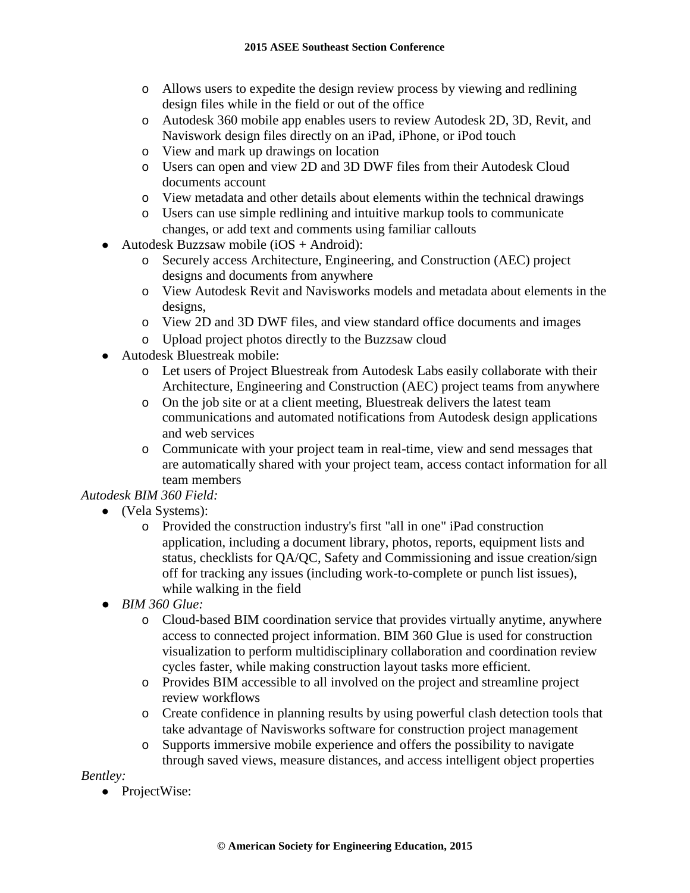- o Allows users to expedite the design review process by viewing and redlining design files while in the field or out of the office
- o Autodesk 360 mobile app enables users to review Autodesk 2D, 3D, Revit, and Naviswork design files directly on an iPad, iPhone, or iPod touch
- o View and mark up drawings on location
- o Users can open and view 2D and 3D DWF files from their Autodesk Cloud documents account
- o View metadata and other details about elements within the technical drawings
- o Users can use simple redlining and intuitive markup tools to communicate changes, or add text and comments using familiar callouts
- Autodesk Buzzsaw mobile ( $iOS + Android)$ :
	- o Securely access Architecture, Engineering, and Construction (AEC) project designs and documents from anywhere
	- o View Autodesk Revit and Navisworks models and metadata about elements in the designs,
	- o View 2D and 3D DWF files, and view standard office documents and images
	- o Upload project photos directly to the Buzzsaw cloud
- Autodesk Bluestreak mobile:
	- o Let users of Project Bluestreak from Autodesk Labs easily collaborate with their Architecture, Engineering and Construction (AEC) project teams from anywhere
	- o On the job site or at a client meeting, Bluestreak delivers the latest team communications and automated notifications from Autodesk design applications and web services
	- o Communicate with your project team in real-time, view and send messages that are automatically shared with your project team, access contact information for all team members

# *Autodesk BIM 360 Field:*

- (Vela Systems):
	- o Provided the construction industry's first "all in one" iPad construction application, including a document library, photos, reports, equipment lists and status, checklists for QA/QC, Safety and Commissioning and issue creation/sign off for tracking any issues (including work-to-complete or punch list issues), while walking in the field
- *BIM 360 Glue:* 
	- o Cloud-based BIM coordination service that provides virtually anytime, anywhere access to connected project information. BIM 360 Glue is used for construction visualization to perform multidisciplinary collaboration and coordination review cycles faster, while making construction layout tasks more efficient.
	- o Provides BIM accessible to all involved on the project and streamline project review workflows
	- o Create confidence in planning results by using powerful clash detection tools that take advantage of Navisworks software for construction project management
	- o Supports immersive mobile experience and offers the possibility to navigate through saved views, measure distances, and access intelligent object properties

## *Bentley:*

• ProjectWise: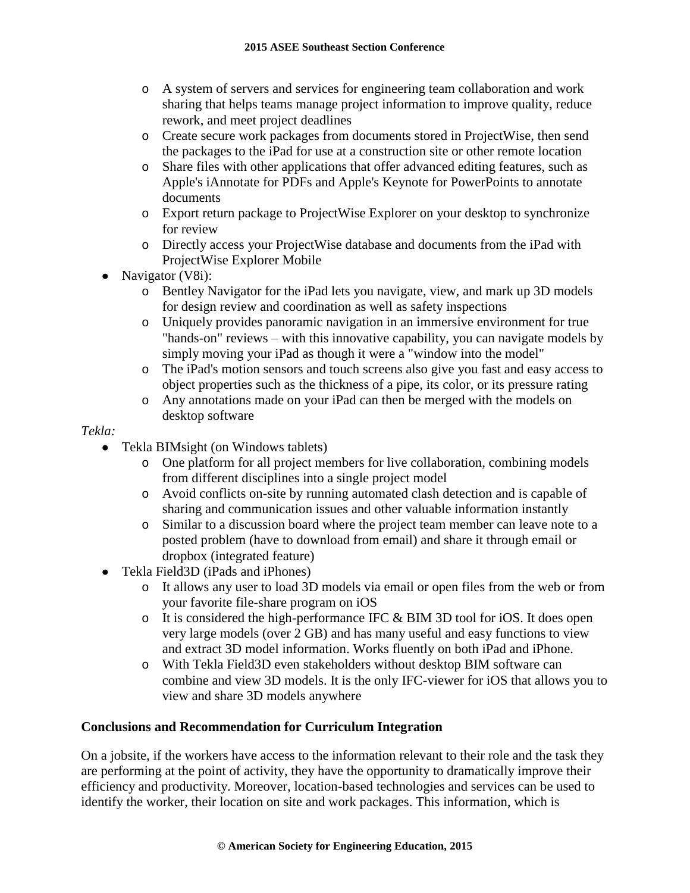- o A system of servers and services for engineering team collaboration and work sharing that helps teams manage project information to improve quality, reduce rework, and meet project deadlines
- o Create secure work packages from documents stored in ProjectWise, then send the packages to the iPad for use at a construction site or other remote location
- o Share files with other applications that offer advanced editing features, such as Apple's iAnnotate for PDFs and Apple's Keynote for PowerPoints to annotate documents
- o Export return package to ProjectWise Explorer on your desktop to synchronize for review
- o Directly access your ProjectWise database and documents from the iPad with ProjectWise Explorer Mobile
- Navigator (V8i):
	- o Bentley Navigator for the iPad lets you navigate, view, and mark up 3D models for design review and coordination as well as safety inspections
	- o Uniquely provides panoramic navigation in an immersive environment for true "hands-on" reviews – with this innovative capability, you can navigate models by simply moving your iPad as though it were a "window into the model"
	- o The iPad's motion sensors and touch screens also give you fast and easy access to object properties such as the thickness of a pipe, its color, or its pressure rating
	- o Any annotations made on your iPad can then be merged with the models on desktop software

### *Tekla:*

- Tekla BIMsight (on Windows tablets)
	- o One platform for all project members for live collaboration, combining models from different disciplines into a single project model
	- o Avoid conflicts on-site by running automated clash detection and is capable of sharing and communication issues and other valuable information instantly
	- o Similar to a discussion board where the project team member can leave note to a posted problem (have to download from email) and share it through email or dropbox (integrated feature)
- Tekla Field3D (iPads and iPhones)
	- o It allows any user to load 3D models via email or open files from the web or from your favorite file-share program on iOS
	- o It is considered the high-performance IFC & BIM 3D tool for iOS. It does open very large models (over 2 GB) and has many useful and easy functions to view and extract 3D model information. Works fluently on both iPad and iPhone.
	- o With Tekla Field3D even stakeholders without desktop BIM software can combine and view 3D models. It is the only IFC-viewer for iOS that allows you to view and share 3D models anywhere

## **Conclusions and Recommendation for Curriculum Integration**

On a jobsite, if the workers have access to the information relevant to their role and the task they are performing at the point of activity, they have the opportunity to dramatically improve their efficiency and productivity. Moreover, location-based technologies and services can be used to identify the worker, their location on site and work packages. This information, which is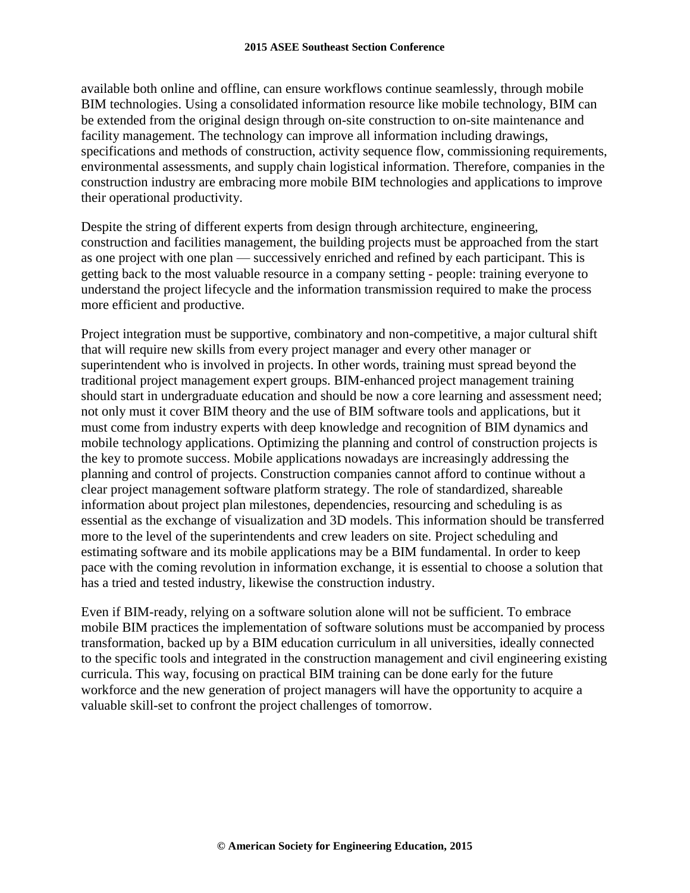available both online and offline, can ensure workflows continue seamlessly, through mobile BIM technologies. Using a consolidated information resource like mobile technology, BIM can be extended from the original design through on-site construction to on-site maintenance and facility management. The technology can improve all information including drawings, specifications and methods of construction, activity sequence flow, commissioning requirements, environmental assessments, and supply chain logistical information. Therefore, companies in the construction industry are embracing more mobile BIM technologies and applications to improve their operational productivity.

Despite the string of different experts from design through architecture, engineering, construction and facilities management, the building projects must be approached from the start as one project with one plan — successively enriched and refined by each participant. This is getting back to the most valuable resource in a company setting - people: training everyone to understand the project lifecycle and the information transmission required to make the process more efficient and productive.

Project integration must be supportive, combinatory and non-competitive, a major cultural shift that will require new skills from every project manager and every other manager or superintendent who is involved in projects. In other words, training must spread beyond the traditional project management expert groups. BIM-enhanced project management training should start in undergraduate education and should be now a core learning and assessment need; not only must it cover BIM theory and the use of BIM software tools and applications, but it must come from industry experts with deep knowledge and recognition of BIM dynamics and mobile technology applications. Optimizing the planning and control of construction projects is the key to promote success. Mobile applications nowadays are increasingly addressing the planning and control of projects. Construction companies cannot afford to continue without a clear project management software platform strategy. The role of standardized, shareable information about project plan milestones, dependencies, resourcing and scheduling is as essential as the exchange of visualization and 3D models. This information should be transferred more to the level of the superintendents and crew leaders on site. Project scheduling and estimating software and its mobile applications may be a BIM fundamental. In order to keep pace with the coming revolution in information exchange, it is essential to choose a solution that has a tried and tested industry, likewise the construction industry.

Even if BIM-ready, relying on a software solution alone will not be sufficient. To embrace mobile BIM practices the implementation of software solutions must be accompanied by process transformation, backed up by a BIM education curriculum in all universities, ideally connected to the specific tools and integrated in the construction management and civil engineering existing curricula. This way, focusing on practical BIM training can be done early for the future workforce and the new generation of project managers will have the opportunity to acquire a valuable skill-set to confront the project challenges of tomorrow.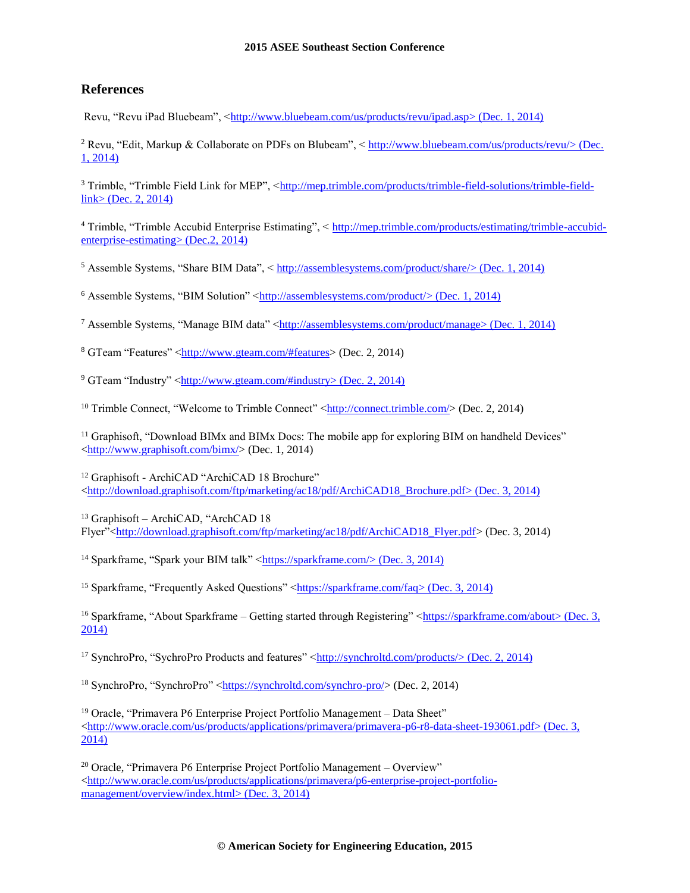#### **2015 ASEE Southeast Section Conference**

#### **References**

Revu, "Revu iPad Bluebeam", [<http://www.bluebeam.com/us/products/revu/ipad.asp>](http://www.bluebeam.com/us/products/revu/ipad.asp) (Dec. 1, 2014)

<sup>2</sup> Revu, "Edit, Markup & Collaborate on PDFs on Blubeam", < [http://www.bluebeam.com/us/products/revu/>](http://www.bluebeam.com/us/products/revu/) (Dec. 1, 2014)

<sup>3</sup> Trimble, "Trimble Field Link for MEP", [<http://mep.trimble.com/products/trimble-field-solutions/trimble-field](http://mep.trimble.com/products/trimble-field-solutions/trimble-field-link)[link>](http://mep.trimble.com/products/trimble-field-solutions/trimble-field-link) (Dec. 2, 2014)

<sup>4</sup> Trimble, "Trimble Accubid Enterprise Estimating", < [http://mep.trimble.com/products/estimating/trimble-accubid](http://mep.trimble.com/products/estimating/trimble-accubid-enterprise-estimating)[enterprise-estimating>](http://mep.trimble.com/products/estimating/trimble-accubid-enterprise-estimating) (Dec.2, 2014)

<sup>5</sup> Assemble Systems, "Share BIM Data", < [http://assemblesystems.com/product/share/>](http://assemblesystems.com/product/share/) (Dec. 1, 2014)

<sup>6</sup> Assemble Systems, "BIM Solution" [<http://assemblesystems.com/product/>](http://assemblesystems.com/product/) (Dec. 1, 2014)

<sup>7</sup> Assemble Systems, "Manage BIM data" [<http://assemblesystems.com/product/manage>](http://assemblesystems.com/product/manage) (Dec. 1, 2014)

<sup>8</sup> GTeam "Features" [<http://www.gteam.com/#features>](http://www.gteam.com/#features) (Dec. 2, 2014)

 $9$  GTeam "Industry" [<http://www.gteam.com/#industry>](http://www.gteam.com/#industry) (Dec. 2, 2014)

<sup>10</sup> Trimble Connect, "Welcome to Trimble Connect" [<http://connect.trimble.com/>](http://connect.trimble.com/) (Dec. 2, 2014)

<sup>11</sup> Graphisoft, "Download BIMx and BIMx Docs: The mobile app for exploring BIM on handheld Devices" [<http://www.graphisoft.com/bimx/>](http://www.graphisoft.com/bimx/) (Dec. 1, 2014)

<sup>12</sup> Graphisoft - ArchiCAD "ArchiCAD 18 Brochure" [<http://download.graphisoft.com/ftp/marketing/ac18/pdf/ArchiCAD18\\_Brochure.pdf>](http://download.graphisoft.com/ftp/marketing/ac18/pdf/ArchiCAD18_Brochure.pdf) (Dec. 3, 2014)

<sup>13</sup> Graphisoft – ArchiCAD, "ArchCAD 18 Flyer"[<http://download.graphisoft.com/ftp/marketing/ac18/pdf/ArchiCAD18\\_Flyer.pdf>](http://download.graphisoft.com/ftp/marketing/ac18/pdf/ArchiCAD18_Flyer.pdf) (Dec. 3, 2014)

<sup>14</sup> Sparkframe, "Spark your BIM talk" [<https://sparkframe.com/>](https://sparkframe.com/) (Dec. 3, 2014)

<sup>15</sup> Sparkframe, "Frequently Asked Questions" [<https://sparkframe.com/faq>](https://sparkframe.com/faq) (Dec. 3, 2014)

<sup>16</sup> Sparkframe, "About Sparkframe – Getting started through Registering" [<https://sparkframe.com/about>](https://sparkframe.com/about) (Dec. 3, 2014)

<sup>17</sup> SynchroPro, "SychroPro Products and features" [<http://synchroltd.com/products/>](http://synchroltd.com/products/) (Dec. 2, 2014)

<sup>18</sup> SynchroPro, "SynchroPro" [<https://synchroltd.com/synchro-pro/>](https://synchroltd.com/synchro-pro/) (Dec. 2, 2014)

<sup>19</sup> Oracle, "Primavera P6 Enterprise Project Portfolio Management – Data Sheet"  $\langle$ http://www.oracle.com/us/products/applications/primavera/primavera-p6-r8-data-sheet-193061.pdf> (Dec. 3, 2014)

<sup>20</sup> Oracle, "Primavera P6 Enterprise Project Portfolio Management – Overview"  $\langle$ http://www.oracle.com/us/products/applications/primavera/p6-enterprise-project-portfolio[management/overview/index.html>](http://www.oracle.com/us/products/applications/primavera/p6-enterprise-project-portfolio-management/overview/index.html) (Dec. 3, 2014)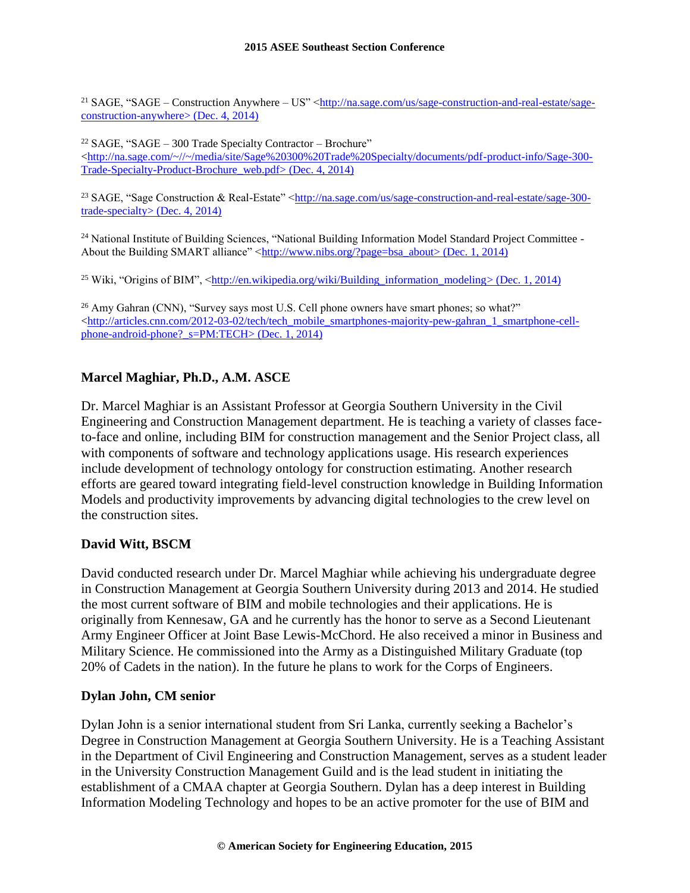<sup>21</sup> SAGE, "SAGE – Construction Anywhere – US" [<http://na.sage.com/us/sage-construction-and-real-estate/sage](http://na.sage.com/us/sage-construction-and-real-estate/sage-construction-anywhere)[construction-anywhere>](http://na.sage.com/us/sage-construction-and-real-estate/sage-construction-anywhere) (Dec. 4, 2014)

 $22$  SAGE, "SAGE – 300 Trade Specialty Contractor – Brochure"  $\langle$ http://na.sage.com/~//~/media/site/Sage%20300%20Trade%20Specialty/documents/pdf-product-info/Sage-300-[Trade-Specialty-Product-Brochure\\_web.pdf>](http://na.sage.com/~/~/media/site/Sage%20300%20Trade%20Specialty/documents/pdf-product-info/Sage-300-Trade-Specialty-Product-Brochure_web.pdf) (Dec. 4, 2014)

<sup>23</sup> SAGE, "Sage Construction & Real-Estate" [<http://na.sage.com/us/sage-construction-and-real-estate/sage-300](http://na.sage.com/us/sage-construction-and-real-estate/sage-300-trade-specialty) [trade-specialty>](http://na.sage.com/us/sage-construction-and-real-estate/sage-300-trade-specialty) (Dec. 4, 2014)

<sup>24</sup> National Institute of Building Sciences, "National Building Information Model Standard Project Committee -About the Building SMART alliance"  $\langle \frac{\text{http://www.nibs.org/page=bsa} \text{ about}}{\text{2014}} \rangle$ 

<sup>25</sup> Wiki, "Origins of BIM", [<http://en.wikipedia.org/wiki/Building\\_information\\_modeling>](http://en.wikipedia.org/wiki/Building_information_modeling) (Dec. 1, 2014)

<sup>26</sup> Amy Gahran (CNN), "Survey says most U.S. Cell phone owners have smart phones; so what?"  $\text{thtp://articles.cnn.com/2012-03-02/tech/tech}$  mobile\_smartphones-majority-pew-gahran\_1\_smartphone-cell[phone-android-phone?\\_s=PM:TECH>](http://articles.cnn.com/2012-03-02/tech/tech_mobile_smartphones-majority-pew-gahran_1_smartphone-cell-phone-android-phone?_s=PM:TECH) (Dec. 1, 2014)

### **Marcel Maghiar, Ph.D., A.M. ASCE**

Dr. Marcel Maghiar is an Assistant Professor at Georgia Southern University in the Civil Engineering and Construction Management department. He is teaching a variety of classes faceto-face and online, including BIM for construction management and the Senior Project class, all with components of software and technology applications usage. His research experiences include development of technology ontology for construction estimating. Another research efforts are geared toward integrating field-level construction knowledge in Building Information Models and productivity improvements by advancing digital technologies to the crew level on the construction sites.

### **David Witt, BSCM**

David conducted research under Dr. Marcel Maghiar while achieving his undergraduate degree in Construction Management at Georgia Southern University during 2013 and 2014. He studied the most current software of BIM and mobile technologies and their applications. He is originally from Kennesaw, GA and he currently has the honor to serve as a Second Lieutenant Army Engineer Officer at Joint Base Lewis-McChord. He also received a minor in Business and Military Science. He commissioned into the Army as a Distinguished Military Graduate (top 20% of Cadets in the nation). In the future he plans to work for the Corps of Engineers.

#### **Dylan John, CM senior**

Dylan John is a senior international student from Sri Lanka, currently seeking a Bachelor's Degree in Construction Management at Georgia Southern University. He is a Teaching Assistant in the Department of Civil Engineering and Construction Management, serves as a student leader in the University Construction Management Guild and is the lead student in initiating the establishment of a CMAA chapter at Georgia Southern. Dylan has a deep interest in Building Information Modeling Technology and hopes to be an active promoter for the use of BIM and